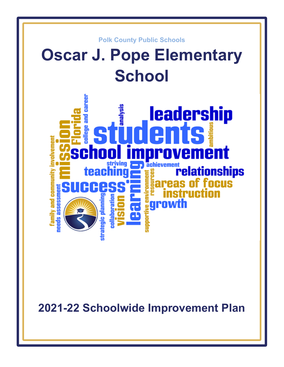

**2021-22 Schoolwide Improvement Plan**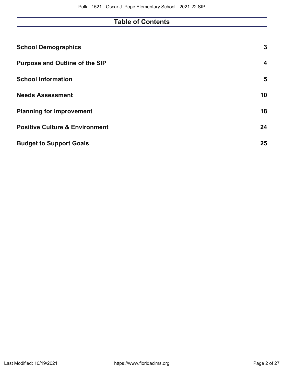# **Table of Contents**

| <b>School Demographics</b>                | 3  |
|-------------------------------------------|----|
| <b>Purpose and Outline of the SIP</b>     | 4  |
| <b>School Information</b>                 | 5  |
| <b>Needs Assessment</b>                   | 10 |
| <b>Planning for Improvement</b>           | 18 |
| <b>Positive Culture &amp; Environment</b> | 24 |
| <b>Budget to Support Goals</b>            | 25 |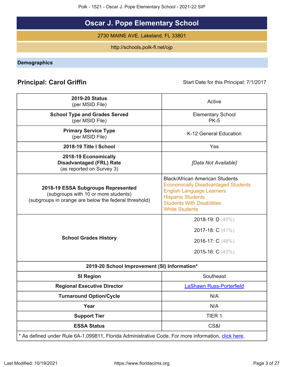Polk - 1521 - Oscar J. Pope Elementary School - 2021-22 SIP

# **Oscar J. Pope Elementary School**

2730 MAINE AVE, Lakeland, FL 33801

http://schools.polk-fl.net/ojp

<span id="page-2-0"></span>**Demographics**

# **Principal: Carol Griffin Start Date for this Principal: 7/1/2017** Start Date for this Principal: 7/1/2017

| <b>2019-20 Status</b><br>(per MSID File)                                                                                            | Active                                                                                                                                                                                                             |
|-------------------------------------------------------------------------------------------------------------------------------------|--------------------------------------------------------------------------------------------------------------------------------------------------------------------------------------------------------------------|
| <b>School Type and Grades Served</b><br>(per MSID File)                                                                             | <b>Elementary School</b><br><b>PK-5</b>                                                                                                                                                                            |
| <b>Primary Service Type</b><br>(per MSID File)                                                                                      | K-12 General Education                                                                                                                                                                                             |
| 2018-19 Title I School                                                                                                              | Yes                                                                                                                                                                                                                |
| 2018-19 Economically<br><b>Disadvantaged (FRL) Rate</b><br>(as reported on Survey 3)                                                | [Data Not Available]                                                                                                                                                                                               |
| 2018-19 ESSA Subgroups Represented<br>(subgroups with 10 or more students)<br>(subgroups in orange are below the federal threshold) | <b>Black/African American Students</b><br><b>Economically Disadvantaged Students</b><br><b>English Language Learners</b><br><b>Hispanic Students</b><br><b>Students With Disabilities</b><br><b>White Students</b> |
| <b>School Grades History</b>                                                                                                        | 2018-19: D (40%)<br>2017-18: C (41%)<br>2016-17: C (46%)<br>2015-16: C (43%)                                                                                                                                       |
| 2019-20 School Improvement (SI) Information*                                                                                        |                                                                                                                                                                                                                    |
| <b>SI Region</b>                                                                                                                    | Southeast                                                                                                                                                                                                          |
| <b>Regional Executive Director</b>                                                                                                  | <b>LaShawn Russ-Porterfield</b>                                                                                                                                                                                    |
| <b>Turnaround Option/Cycle</b>                                                                                                      | N/A                                                                                                                                                                                                                |
| Year                                                                                                                                | N/A                                                                                                                                                                                                                |
| <b>Support Tier</b>                                                                                                                 | TIER 1                                                                                                                                                                                                             |
| <b>ESSA Status</b>                                                                                                                  | CS&I                                                                                                                                                                                                               |
| * As defined under Rule 6A-1.099811, Florida Administrative Code. For more information, click here.                                 |                                                                                                                                                                                                                    |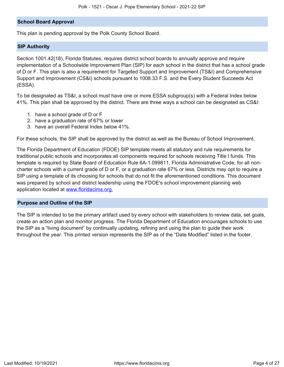## **School Board Approval**

This plan is pending approval by the Polk County School Board.

#### **SIP Authority**

Section 1001.42(18), Florida Statutes, requires district school boards to annually approve and require implementation of a Schoolwide Improvement Plan (SIP) for each school in the district that has a school grade of D or F. This plan is also a requirement for Targeted Support and Improvement (TS&I) and Comprehensive Support and Improvement (CS&I) schools pursuant to 1008.33 F.S. and the Every Student Succeeds Act (ESSA).

To be designated as TS&I, a school must have one or more ESSA subgroup(s) with a Federal Index below 41%. This plan shall be approved by the district. There are three ways a school can be designated as CS&I:

- 1. have a school grade of D or F
- 2. have a graduation rate of 67% or lower
- 3. have an overall Federal Index below 41%.

For these schools, the SIP shall be approved by the district as well as the Bureau of School Improvement.

The Florida Department of Education (FDOE) SIP template meets all statutory and rule requirements for traditional public schools and incorporates all components required for schools receiving Title I funds. This template is required by State Board of Education Rule 6A-1.099811, Florida Administrative Code, for all noncharter schools with a current grade of D or F, or a graduation rate 67% or less. Districts may opt to require a SIP using a template of its choosing for schools that do not fit the aforementioned conditions. This document was prepared by school and district leadership using the FDOE's school improvement planning web application located at [www.floridacims.org.](https://www.floridacims.org)

#### <span id="page-3-0"></span>**Purpose and Outline of the SIP**

The SIP is intended to be the primary artifact used by every school with stakeholders to review data, set goals, create an action plan and monitor progress. The Florida Department of Education encourages schools to use the SIP as a "living document" by continually updating, refining and using the plan to guide their work throughout the year. This printed version represents the SIP as of the "Date Modified" listed in the footer.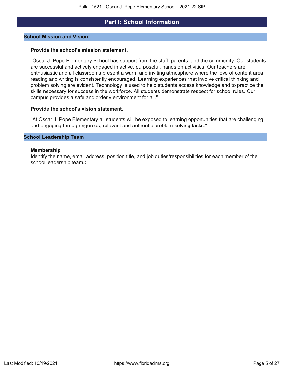## **Part I: School Information**

#### <span id="page-4-0"></span>**School Mission and Vision**

#### **Provide the school's mission statement.**

"Oscar J. Pope Elementary School has support from the staff, parents, and the community. Our students are successful and actively engaged in active, purposeful, hands on activities. Our teachers are enthusiastic and all classrooms present a warm and inviting atmosphere where the love of content area reading and writing is consistently encouraged. Learning experiences that involve critical thinking and problem solving are evident. Technology is used to help students access knowledge and to practice the skills necessary for success in the workforce. All students demonstrate respect for school rules. Our campus provides a safe and orderly environment for all."

#### **Provide the school's vision statement.**

"At Oscar J. Pope Elementary all students will be exposed to learning opportunities that are challenging and engaging through rigorous, relevant and authentic problem-solving tasks."

#### **School Leadership Team**

#### **Membership**

Identify the name, email address, position title, and job duties/responsibilities for each member of the school leadership team.**:**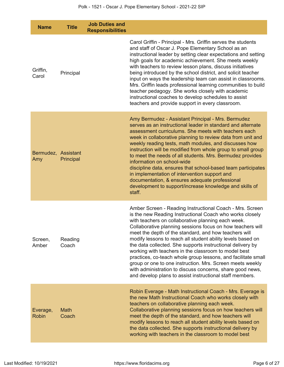| <b>Name</b>                | <b>Title</b>     | <b>Job Duties and</b><br><b>Responsibilities</b> |                                                                                                                                                                                                                                                                                                                                                                                                                                                                                                                                                                                                                                                                                                                                               |
|----------------------------|------------------|--------------------------------------------------|-----------------------------------------------------------------------------------------------------------------------------------------------------------------------------------------------------------------------------------------------------------------------------------------------------------------------------------------------------------------------------------------------------------------------------------------------------------------------------------------------------------------------------------------------------------------------------------------------------------------------------------------------------------------------------------------------------------------------------------------------|
| Griffin,<br>Carol          | Principal        |                                                  | Carol Griffin - Principal - Mrs. Griffin serves the students<br>and staff of Oscar J. Pope Elementary School as an<br>instructional leader by setting clear expectations and setting<br>high goals for academic achievement. She meets weekly<br>with teachers to review lesson plans, discuss initiatives<br>being introduced by the school district, and solicit teacher<br>input on ways the leadership team can assist in classrooms.<br>Mrs. Griffin leads professional learning communities to build<br>teacher pedagogy. She works closely with academic<br>instructional coaches to develop schedules to assist<br>teachers and provide support in every classroom.                                                                   |
| Bermudez, Assistant<br>Amy | Principal        |                                                  | Amy Bermudez - Assistant Principal - Mrs. Bermudez<br>serves as an instructional leader in standard and alternate<br>assessment curriculums. She meets with teachers each<br>week in collaborative planning to review data from unit and<br>weekly reading tests, math modules, and discusses how<br>instruction will be modified from whole group to small group<br>to meet the needs of all students. Mrs. Bermudez provides<br>information on school-wide<br>discipline data, ensures that school-based team participates<br>in implementation of intervention support and<br>documentation, & ensures adequate professional<br>development to support/increase knowledge and skills of<br>staff.                                          |
| Screen,<br>Amber           | Reading<br>Coach |                                                  | Amber Screen - Reading Instructional Coach - Mrs. Screen<br>is the new Reading Instructional Coach who works closely<br>with teachers on collaborative planning each week.<br>Collaborative planning sessions focus on how teachers will<br>meet the depth of the standard, and how teachers will<br>modify lessons to reach all student ability levels based on<br>the data collected. She supports instructional delivery by<br>working with teachers in the classroom to model best<br>practices, co-teach whole group lessons, and facilitate small<br>group or one to one instruction. Mrs. Screen meets weekly<br>with administration to discuss concerns, share good news,<br>and develop plans to assist instructional staff members. |
| Everage,<br><b>Robin</b>   | Math<br>Coach    |                                                  | Robin Everage - Math Instructional Coach - Mrs. Everage is<br>the new Math Instructional Coach who works closely with<br>teachers on collaborative planning each week.<br>Collaborative planning sessions focus on how teachers will<br>meet the depth of the standard, and how teachers will<br>modify lessons to reach all student ability levels based on<br>the data collected. She supports instructional delivery by<br>working with teachers in the classroom to model best                                                                                                                                                                                                                                                            |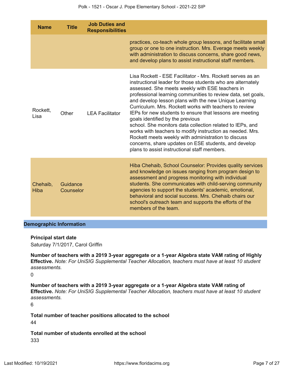| <b>Name</b>             | <b>Title</b>          | <b>Job Duties and</b><br><b>Responsibilities</b> |                                                                                                                                                                                                                                                                                                                                                                                                                                                                                                                                                                                                                                                                                                                                                          |
|-------------------------|-----------------------|--------------------------------------------------|----------------------------------------------------------------------------------------------------------------------------------------------------------------------------------------------------------------------------------------------------------------------------------------------------------------------------------------------------------------------------------------------------------------------------------------------------------------------------------------------------------------------------------------------------------------------------------------------------------------------------------------------------------------------------------------------------------------------------------------------------------|
|                         |                       |                                                  | practices, co-teach whole group lessons, and facilitate small<br>group or one to one instruction. Mrs. Everage meets weekly<br>with administration to discuss concerns, share good news,<br>and develop plans to assist instructional staff members.                                                                                                                                                                                                                                                                                                                                                                                                                                                                                                     |
| Rockett.<br>Lisa        | Other                 | <b>LEA Facilitator</b>                           | Lisa Rockett - ESE Facilitator - Mrs. Rockett serves as an<br>instructional leader for those students who are alternately<br>assessed. She meets weekly with ESE teachers in<br>professional learning communities to review data, set goals,<br>and develop lesson plans with the new Unique Learning<br>Curriculum. Mrs. Rockett works with teachers to review<br>IEPs for new students to ensure that lessons are meeting<br>goals identified by the previous<br>school. She monitors data collection related to IEPs, and<br>works with teachers to modify instruction as needed. Mrs.<br>Rockett meets weekly with administration to discuss<br>concerns, share updates on ESE students, and develop<br>plans to assist instructional staff members. |
| Chehaib,<br><b>Hiba</b> | Guidance<br>Counselor |                                                  | Hiba Chehaib, School Counselor: Provides quality services<br>and knowledge on issues ranging from program design to<br>assessment and progress monitoring with individual<br>students. She communicates with child-serving community<br>agencies to support the students' academic, emotional,<br>behavioral and social success. Mrs. Chehaib chairs our<br>school's outreach team and supports the efforts of the<br>members of the team.                                                                                                                                                                                                                                                                                                               |

## **Demographic Information**

#### **Principal start date**

Saturday 7/1/2017, Carol Griffin

**Number of teachers with a 2019 3-year aggregate or a 1-year Algebra state VAM rating of Highly Effective.** *Note: For UniSIG Supplemental Teacher Allocation, teachers must have at least 10 student assessments.*

0

**Number of teachers with a 2019 3-year aggregate or a 1-year Algebra state VAM rating of Effective.** *Note: For UniSIG Supplemental Teacher Allocation, teachers must have at least 10 student assessments.*

6

**Total number of teacher positions allocated to the school** 44

**Total number of students enrolled at the school** 333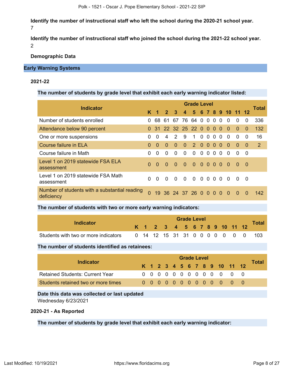**Identify the number of instructional staff who left the school during the 2020-21 school year.** 7

**Identify the number of instructional staff who joined the school during the 2021-22 school year.** 2

**Demographic Data**

#### **Early Warning Systems**

## **2021-22**

#### **The number of students by grade level that exhibit each early warning indicator listed:**

| <b>Indicator</b>                                            |              | <b>Grade Level</b>      |                |               |                |               |          |                |          |          |                 |          |          |       |  |
|-------------------------------------------------------------|--------------|-------------------------|----------------|---------------|----------------|---------------|----------|----------------|----------|----------|-----------------|----------|----------|-------|--|
|                                                             | Κ            | $\overline{\mathbf{1}}$ | 2 <sup>1</sup> | $\mathbf{3}$  | $\overline{4}$ |               |          |                |          |          | 5 6 7 8 9 10 11 |          | 12       | Total |  |
| Number of students enrolled                                 | 0            | 68                      | -61            | 67            | 76 64          |               | $\Omega$ | $\Omega$       | $\Omega$ | $\Omega$ | 0               | 0        | 0        | 336   |  |
| Attendance below 90 percent                                 |              | 31                      |                | 22 32 25 22 0 |                |               |          | $\Omega$       | $\Omega$ | $\Omega$ | $\Omega$        | $\Omega$ | $\Omega$ | 132   |  |
| One or more suspensions                                     | 0            | $\Omega$                | 4              | $\mathcal{P}$ | 9              | 1.            | $\Omega$ | $\Omega$       | $\Omega$ | $\Omega$ | 0               | 0        | $\Omega$ | 16    |  |
| <b>Course failure in ELA</b>                                | <sup>0</sup> | $\Omega$                | $\Omega$       | $\Omega$      | $\Omega$       | $\mathcal{P}$ | $\Omega$ | $\Omega$       | $\Omega$ | 0        | 0               | $\Omega$ | $\Omega$ | 2     |  |
| Course failure in Math                                      | <sup>0</sup> | $\Omega$                | $\Omega$       | $\Omega$      | $\Omega$       | $\Omega$      | $\Omega$ | $\Omega$       | 0        | $\Omega$ | 0               | 0        | $\Omega$ |       |  |
| Level 1 on 2019 statewide FSA ELA<br>assessment             | $\Omega$     | $\Omega$                | $\Omega$       | $\Omega$      | $\Omega$       | $\Omega$      | $\Omega$ | 0 <sub>0</sub> |          | $\Omega$ | -0              | $\Omega$ | - 0      |       |  |
| Level 1 on 2019 statewide FSA Math<br>assessment            | <sup>0</sup> | $\Omega$                | $\Omega$       | $\Omega$      | $\Omega$       | $\Omega$      | $\Omega$ | 0 <sub>0</sub> |          | $\Omega$ | $\Omega$        | $\Omega$ | - 0      |       |  |
| Number of students with a substantial reading<br>deficiency | $\Omega$     | 19.                     |                | 36 24 37 26 0 |                |               |          | $\Omega$       | $\Omega$ | $\Omega$ | - 0             | $\Omega$ | $\Omega$ | 142   |  |

#### **The number of students with two or more early warning indicators:**

| Indicator                            |  | <b>Grade Level</b>           |  |  |  |  |  |  |  |  |  |  |                                |       |  |  |
|--------------------------------------|--|------------------------------|--|--|--|--|--|--|--|--|--|--|--------------------------------|-------|--|--|
|                                      |  | K 1 2 3 4 5 6 7 8 9 10 11 12 |  |  |  |  |  |  |  |  |  |  |                                | Total |  |  |
| Students with two or more indicators |  |                              |  |  |  |  |  |  |  |  |  |  | 0 14 12 15 31 31 0 0 0 0 0 0 0 | -103  |  |  |

## **The number of students identified as retainees:**

| Indicator                              | <b>Grade Level</b> |  |  |  |  |  |  |  |  |  |  |                              |  |       |
|----------------------------------------|--------------------|--|--|--|--|--|--|--|--|--|--|------------------------------|--|-------|
|                                        |                    |  |  |  |  |  |  |  |  |  |  | K 1 2 3 4 5 6 7 8 9 10 11 12 |  | Total |
| <b>Retained Students: Current Year</b> |                    |  |  |  |  |  |  |  |  |  |  | 0 0 0 0 0 0 0 0 0 0 0 0 0    |  |       |
| Students retained two or more times    |                    |  |  |  |  |  |  |  |  |  |  | 00000000000000               |  |       |

## **Date this data was collected or last updated**

Wednesday 6/23/2021

## **2020-21 - As Reported**

## **The number of students by grade level that exhibit each early warning indicator:**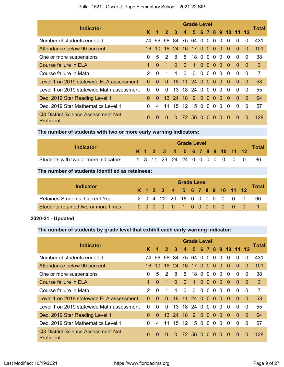| Polk - 1521 - Oscar J. Pope Elementary School - 2021-22 SIP |  |  |  |  |  |  |
|-------------------------------------------------------------|--|--|--|--|--|--|
|-------------------------------------------------------------|--|--|--|--|--|--|

| <b>Indicator</b>                                 | <b>Grade Level</b> |                |                 |                 |                  |              |                |              |          |          |            |          |          |                |
|--------------------------------------------------|--------------------|----------------|-----------------|-----------------|------------------|--------------|----------------|--------------|----------|----------|------------|----------|----------|----------------|
|                                                  | ĸ                  | 1              | $\mathbf{2}$    | 3               | $\boldsymbol{4}$ | 5            |                |              |          |          | 6 7 8 9 10 | $-11$    |          | Total          |
| Number of students enrolled                      | 74                 | 66             |                 | 68 84           | 75               | 64           | $\overline{0}$ | $\Omega$     | $\Omega$ | $\Omega$ | $\Omega$   | 0        | $\Omega$ | 431            |
| Attendance below 90 percent                      | 16.                | 10             | 18 <sup>°</sup> | <b>24</b>       |                  | 16 17 0 0    |                |              | $\Omega$ | $\Omega$ | $\Omega$   | $\Omega$ | $\Omega$ | 101            |
| One or more suspensions                          | 0                  | 5              | $\mathcal{P}$   | 8               | 5                | 18           | $\overline{0}$ | $\Omega$     | $\Omega$ | $\Omega$ | $\Omega$   | 0        | $\Omega$ | 38             |
| Course failure in ELA                            |                    | 0              | 1               | $\Omega$        | $\Omega$         | $\mathbf{1}$ | $\overline{0}$ | $\Omega$     | $\Omega$ | $\Omega$ | $\Omega$   | $\Omega$ | $\Omega$ | 3              |
| Course failure in Math                           | $\mathcal{P}$      | 0              | 1               | 4               | 0                | $\Omega$     | $\Omega$       | $\Omega$     | 0        | $\Omega$ | $\Omega$   | 0        | $\Omega$ | $\overline{7}$ |
| Level 1 on 2019 statewide ELA assessment         | <sup>0</sup>       | O              | $\Omega$        | 18 <sup>°</sup> | 11               | 24           | $\Omega$       | $\Omega$     | $\Omega$ | $\Omega$ | $\Omega$   | $\Omega$ | $\Omega$ | 53             |
| Level 1 on 2019 statewide Math assessment        | 0                  | 0              | 0               | 13              |                  | 18 24        | $\mathbf{0}$   | $\Omega$     | $\Omega$ | $\Omega$ | $\Omega$   | 0        | 0        | 55             |
| Dec. 2019 Star Reading Level 1                   | $\Omega$           | 0              |                 | 13 24           | 18               | 9            | $\overline{0}$ | $\Omega$     | $\Omega$ | $\Omega$ | $\Omega$   | $\Omega$ | $\Omega$ | 64             |
| Dec. 2019 Star Mathematics Level 1               | 0                  | $\overline{4}$ | 11              | 15              |                  | 12 15        | $\overline{0}$ | $\mathbf{0}$ | $\Omega$ | $\Omega$ | $\Omega$   | 0        | $\Omega$ | 57             |
| Q3 District Science Assessment Not<br>Proficient | 0                  | 0              | $\Omega$        | $\Omega$        |                  | 72 56 0      |                | $\Omega$     | $\Omega$ | $\Omega$ | $\Omega$   | $\Omega$ | $\Omega$ | 128            |

**The number of students with two or more early warning indicators:**

| Indicator                            |  | <b>Grade Level</b> |  |                              |  |  |  |  |  |  |  |  |  |                                  |  |  |
|--------------------------------------|--|--------------------|--|------------------------------|--|--|--|--|--|--|--|--|--|----------------------------------|--|--|
|                                      |  |                    |  | K 1 2 3 4 5 6 7 8 9 10 11 12 |  |  |  |  |  |  |  |  |  | <b>Total</b>                     |  |  |
| Students with two or more indicators |  |                    |  |                              |  |  |  |  |  |  |  |  |  | 1 3 11 23 24 24 0 0 0 0 0 0 0 86 |  |  |

**The number of students identified as retainees:**

|                                        |  | <b>Grade Level</b> |  |  |                              |  |  |  |  |  |  |  |                              |              |  |  |
|----------------------------------------|--|--------------------|--|--|------------------------------|--|--|--|--|--|--|--|------------------------------|--------------|--|--|
| <b>Indicator</b>                       |  |                    |  |  | K 1 2 3 4 5 6 7 8 9 10 11 12 |  |  |  |  |  |  |  |                              | <b>Total</b> |  |  |
| <b>Retained Students: Current Year</b> |  |                    |  |  |                              |  |  |  |  |  |  |  | 2 0 4 22 20 18 0 0 0 0 0 0 0 | -66          |  |  |
| Students retained two or more times    |  |                    |  |  |                              |  |  |  |  |  |  |  | 0 0 0 0 0 1 0 0 0 0 0 0 0    |              |  |  |

## **2020-21 - Updated**

## **The number of students by grade level that exhibit each early warning indicator:**

| <b>Indicator</b>                                 | <b>Grade Level</b> |              |                 |                |                   |                 |                |                        |                |          |                 |              |          |       |
|--------------------------------------------------|--------------------|--------------|-----------------|----------------|-------------------|-----------------|----------------|------------------------|----------------|----------|-----------------|--------------|----------|-------|
|                                                  | K                  |              | 2 <sup>1</sup>  | $\mathbf{3}$   | $\overline{4}$    |                 |                |                        |                |          | 5 6 7 8 9 10 11 |              |          | Total |
| Number of students enrolled                      | 74.                | 66           | 68              | 84             | 75 64 0 0         |                 |                |                        | $\Omega$       | $\Omega$ | $\Omega$        | 0            | 0        | 431   |
| Attendance below 90 percent                      | 16                 | 10           | 18              | 24             | 16                | 17 <sub>0</sub> |                | $\overline{0}$         | $\Omega$       | $\Omega$ | $\Omega$        | $\Omega$     | $\Omega$ | 101   |
| One or more suspensions                          | 0                  | 5            | 2               | 8              | 5                 | 18              | $\overline{0}$ | $\mathbf{0}$           | $\overline{0}$ | $\Omega$ | $\Omega$        | $\Omega$     | $\Omega$ | 38    |
| <b>Course failure in ELA</b>                     | $\mathbf 1$        | $\Omega$     | $\mathbf{1}$    | $\Omega$       | $\Omega$          | $\blacklozenge$ |                | $0\quad 0\quad 0\quad$ |                | $\Omega$ | $\Omega$        | $\Omega$     | $\Omega$ | 3     |
| Course failure in Math                           | $\mathcal{P}$      | $\Omega$     | 1               | $\overline{4}$ | $\Omega$          | $\Omega$        | $\Omega$       | $\overline{0}$         | $\Omega$       | $\Omega$ | $\Omega$        | 0            | 0        | 7     |
| Level 1 on 2019 statewide ELA assessment         | $\Omega$           | $\Omega$     | $\Omega$        | 18             | 11 24             |                 | $\Omega$       | $\Omega$               | $\Omega$       | $\Omega$ | $\Omega$        | $\Omega$     | $\Omega$ | 53    |
| Level 1 on 2019 statewide Math assessment        | 0                  | 0            | 0               | 13             | 18                | 24              | $\Omega$       | $\Omega$               | 0              | $\Omega$ | <sup>0</sup>    | <sup>0</sup> | 0        | 55    |
| Dec. 2019 Star Reading Level 1                   | $\Omega$           | 0            | 13 <sup>°</sup> | 24             | 18                | 9               | $\Omega$       | $\Omega$               | $\Omega$       | $\Omega$ | 0               | $\Omega$     | $\Omega$ | 64    |
| Dec. 2019 Star Mathematics Level 1               | 0                  | 4            | 11              | 15             | $12 \overline{ }$ | 15              | $\Omega$       | $\Omega$               | 0              | 0        | 0               | 0            | 0        | 57    |
| Q3 District Science Assessment Not<br>Proficient | $\Omega$           | <sup>0</sup> | $\Omega$        | $\Omega$       |                   | 72 56           | $\bullet$      | $\Omega$               | $\Omega$       | $\Omega$ | $\Omega$        | $\Omega$     | $\Omega$ | 128   |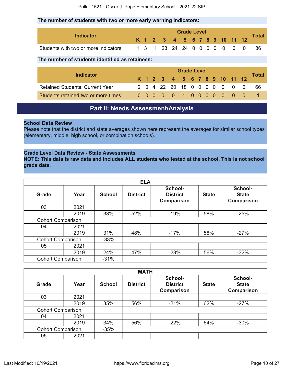## **The number of students with two or more early warning indicators:**

|                                      | <b>Grade Level</b> |  |  |                               |  |  |  |  |  |  |  |        |
|--------------------------------------|--------------------|--|--|-------------------------------|--|--|--|--|--|--|--|--------|
| Indicator                            |                    |  |  | K 1 2 3 4 5 6 7 8 9 10 11 12  |  |  |  |  |  |  |  | Total. |
| Students with two or more indicators |                    |  |  | 1 3 11 23 24 24 0 0 0 0 0 0 0 |  |  |  |  |  |  |  |        |

## **The number of students identified as retainees:**

|                                        |  | <b>Grade Level</b> |  |  |  |  |  |  |  |  |  |                              |       |
|----------------------------------------|--|--------------------|--|--|--|--|--|--|--|--|--|------------------------------|-------|
| <b>Indicator</b>                       |  |                    |  |  |  |  |  |  |  |  |  | K 1 2 3 4 5 6 7 8 9 10 11 12 | Total |
| <b>Retained Students: Current Year</b> |  |                    |  |  |  |  |  |  |  |  |  | 2 0 4 22 20 18 0 0 0 0 0 0 0 | - 66  |
| Students retained two or more times    |  |                    |  |  |  |  |  |  |  |  |  | 0000010000000                |       |

## **Part II: Needs Assessment/Analysis**

## <span id="page-9-0"></span>**School Data Review**

Please note that the district and state averages shown here represent the averages for similar school types (elementary, middle, high school, or combination schools).

## **Grade Level Data Review - State Assessments**

**NOTE: This data is raw data and includes ALL students who tested at the school. This is not school grade data.**

|                          |      |               | <b>ELA</b>      |                                          |              |                                       |
|--------------------------|------|---------------|-----------------|------------------------------------------|--------------|---------------------------------------|
| Grade                    | Year | <b>School</b> | <b>District</b> | School-<br><b>District</b><br>Comparison | <b>State</b> | School-<br><b>State</b><br>Comparison |
| 03                       | 2021 |               |                 |                                          |              |                                       |
|                          | 2019 | 33%           | 52%             | $-19%$                                   | 58%          | $-25%$                                |
| <b>Cohort Comparison</b> |      |               |                 |                                          |              |                                       |
| 04                       | 2021 |               |                 |                                          |              |                                       |
|                          | 2019 | 31%           | 48%             | $-17%$                                   | 58%          | $-27%$                                |
| <b>Cohort Comparison</b> |      | $-33%$        |                 |                                          |              |                                       |
| 05                       | 2021 |               |                 |                                          |              |                                       |
|                          | 2019 | 24%           | 47%             | $-23%$                                   | 56%          | $-32%$                                |
| <b>Cohort Comparison</b> |      | $-31%$        |                 |                                          |              |                                       |

|                          |      |               | <b>MATH</b>     |                                          |              |                                              |
|--------------------------|------|---------------|-----------------|------------------------------------------|--------------|----------------------------------------------|
| Grade                    | Year | <b>School</b> | <b>District</b> | School-<br><b>District</b><br>Comparison | <b>State</b> | School-<br><b>State</b><br><b>Comparison</b> |
| 03                       | 2021 |               |                 |                                          |              |                                              |
|                          | 2019 | 35%           | 56%             | $-21%$                                   | 62%          | $-27%$                                       |
| <b>Cohort Comparison</b> |      |               |                 |                                          |              |                                              |
| 04                       | 2021 |               |                 |                                          |              |                                              |
|                          | 2019 | 34%           | 56%             | $-22%$                                   | 64%          | $-30%$                                       |
| <b>Cohort Comparison</b> |      | $-35%$        |                 |                                          |              |                                              |
| 05                       | 2021 |               |                 |                                          |              |                                              |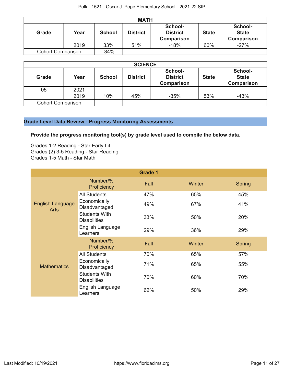|                          | <b>MATH</b> |               |                 |                                                 |              |                                              |  |  |  |  |  |
|--------------------------|-------------|---------------|-----------------|-------------------------------------------------|--------------|----------------------------------------------|--|--|--|--|--|
| Grade                    | Year        | <b>School</b> | <b>District</b> | School-<br><b>District</b><br><b>Comparison</b> | <b>State</b> | School-<br><b>State</b><br><b>Comparison</b> |  |  |  |  |  |
|                          | 2019        | 33%           | 51%             | $-18%$                                          | 60%          | $-27%$                                       |  |  |  |  |  |
| <b>Cohort Comparison</b> |             | $-34%$        |                 |                                                 |              |                                              |  |  |  |  |  |

|                          | <b>SCIENCE</b> |               |                 |                                          |              |                                              |  |  |  |  |  |
|--------------------------|----------------|---------------|-----------------|------------------------------------------|--------------|----------------------------------------------|--|--|--|--|--|
| Grade                    | Year           | <b>School</b> | <b>District</b> | School-<br><b>District</b><br>Comparison | <b>State</b> | School-<br><b>State</b><br><b>Comparison</b> |  |  |  |  |  |
| 05                       | 2021           |               |                 |                                          |              |                                              |  |  |  |  |  |
|                          | 2019           | 10%           | 45%             | $-35%$                                   | 53%          | $-43%$                                       |  |  |  |  |  |
| <b>Cohort Comparison</b> |                |               |                 |                                          |              |                                              |  |  |  |  |  |

## **Grade Level Data Review - Progress Monitoring Assessments**

**Provide the progress monitoring tool(s) by grade level used to compile the below data.**

Grades 1-2 Reading - Star Early Lit Grades (2) 3-5 Reading - Star Reading Grades 1-5 Math - Star Math

|                                        |                                             | <b>Grade 1</b> |        |               |
|----------------------------------------|---------------------------------------------|----------------|--------|---------------|
| <b>English Language</b><br><b>Arts</b> | Number/%<br>Proficiency                     | Fall           | Winter | <b>Spring</b> |
|                                        | <b>All Students</b>                         | 47%            | 65%    | 45%           |
|                                        | Economically<br>Disadvantaged               | 49%            | 67%    | 41%           |
|                                        | <b>Students With</b><br><b>Disabilities</b> | 33%            | 50%    | 20%           |
|                                        | English Language<br>Learners                | 29%            | 36%    | 29%           |
|                                        | Number/%<br>Proficiency                     | Fall           | Winter | <b>Spring</b> |
|                                        | <b>All Students</b>                         | 70%            | 65%    | 57%           |
| <b>Mathematics</b>                     | Economically<br>Disadvantaged               | 71%            | 65%    | 55%           |
|                                        | <b>Students With</b><br><b>Disabilities</b> | 70%            | 60%    | 70%           |
|                                        | English Language<br>Learners                | 62%            | 50%    | 29%           |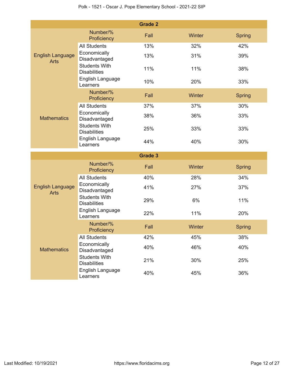|                                        |                                                                 | <b>Grade 2</b> |        |               |
|----------------------------------------|-----------------------------------------------------------------|----------------|--------|---------------|
|                                        | Number/%<br>Proficiency                                         | Fall           | Winter | <b>Spring</b> |
|                                        | <b>All Students</b>                                             | 13%            | 32%    | 42%           |
| <b>English Language</b><br><b>Arts</b> | Economically<br>Disadvantaged                                   | 13%            | 31%    | 39%           |
|                                        | <b>Students With</b><br><b>Disabilities</b>                     | 11%            | 11%    | 38%           |
|                                        | English Language<br>Learners                                    | 10%            | 20%    | 33%           |
|                                        | Number/%<br>Proficiency                                         | Fall           | Winter | <b>Spring</b> |
|                                        | <b>All Students</b>                                             | 37%            | 37%    | 30%           |
| <b>Mathematics</b>                     | Economically<br>Disadvantaged                                   | 38%            | 36%    | 33%           |
|                                        | <b>Students With</b><br><b>Disabilities</b>                     | 25%            | 33%    | 33%           |
|                                        | English Language<br>Learners                                    | 44%            | 40%    | 30%           |
|                                        |                                                                 |                |        |               |
|                                        |                                                                 | <b>Grade 3</b> |        |               |
|                                        | Number/%<br>Proficiency                                         | Fall           | Winter | <b>Spring</b> |
|                                        | <b>All Students</b>                                             | 40%            | 28%    | 34%           |
| <b>English Language</b><br><b>Arts</b> | Economically<br>Disadvantaged                                   | 41%            | 27%    | 37%           |
|                                        | <b>Students With</b><br><b>Disabilities</b>                     | 29%            | 6%     | 11%           |
|                                        | English Language<br>Learners                                    | 22%            | 11%    | 20%           |
|                                        | Number/%<br>Proficiency                                         | Fall           | Winter | <b>Spring</b> |
|                                        | <b>All Students</b>                                             | 42%            | 45%    | 38%           |
| <b>Mathematics</b>                     | Economically<br>Disadvantaged                                   | 40%            | 46%    | 40%           |
|                                        | <b>Students With</b><br><b>Disabilities</b><br>English Language | 21%            | 30%    | 25%           |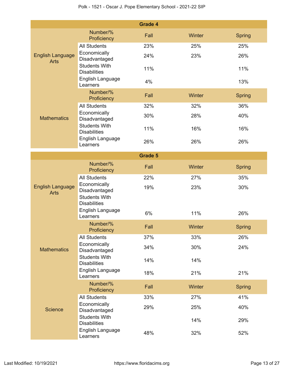|                                        |                                                                              | <b>Grade 4</b> |        |               |
|----------------------------------------|------------------------------------------------------------------------------|----------------|--------|---------------|
|                                        | Number/%<br>Proficiency                                                      | Fall           | Winter | <b>Spring</b> |
|                                        | <b>All Students</b>                                                          | 23%            | 25%    | 25%           |
| <b>English Language</b><br><b>Arts</b> | Economically<br>Disadvantaged                                                | 24%            | 23%    | 26%           |
|                                        | <b>Students With</b><br><b>Disabilities</b>                                  | 11%            |        | 11%           |
|                                        | English Language<br>Learners                                                 | 4%             |        | 13%           |
|                                        | Number/%<br>Proficiency                                                      | Fall           | Winter | <b>Spring</b> |
|                                        | <b>All Students</b>                                                          | 32%            | 32%    | 36%           |
| <b>Mathematics</b>                     | Economically<br>Disadvantaged                                                | 30%            | 28%    | 40%           |
|                                        | <b>Students With</b><br><b>Disabilities</b>                                  | 11%            | 16%    | 16%           |
|                                        | English Language<br>Learners                                                 | 26%            | 26%    | 26%           |
|                                        |                                                                              | <b>Grade 5</b> |        |               |
|                                        | Number/%<br>Proficiency                                                      | Fall           | Winter | <b>Spring</b> |
|                                        | <b>All Students</b>                                                          | 22%            | 27%    | 35%           |
| <b>English Language</b><br><b>Arts</b> | Economically<br>Disadvantaged<br><b>Students With</b><br><b>Disabilities</b> | 19%            | 23%    | 30%           |
|                                        | English Language<br>Learners                                                 | 6%             | 11%    | 26%           |
|                                        | Number/%<br>Proficiency                                                      | Fall           | Winter | <b>Spring</b> |
|                                        | <b>All Students</b>                                                          | 37%            | 33%    | 26%           |
| <b>Mathematics</b>                     | Economically<br>Disadvantaged                                                | 34%            | 30%    | 24%           |
|                                        | <b>Students With</b><br><b>Disabilities</b>                                  | 14%            | 14%    |               |
|                                        | English Language<br>Learners                                                 | 18%            | 21%    | 21%           |
|                                        | Number/%<br>Proficiency                                                      | Fall           | Winter | <b>Spring</b> |
|                                        | <b>All Students</b>                                                          | 33%            | 27%    | 41%           |
| <b>Science</b>                         | Economically<br>Disadvantaged                                                | 29%            | 25%    | 40%           |
|                                        | <b>Students With</b><br><b>Disabilities</b>                                  |                | 14%    | 29%           |
|                                        | English Language<br>Learners                                                 | 48%            | 32%    | 52%           |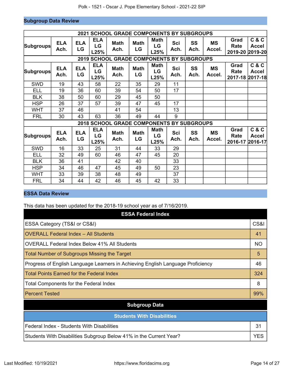## **Subgroup Data Review**

|                  |                    |                  |                          | <b>2021 SCHOOL GRADE COMPONENTS BY SUBGROUPS</b> |                   |                           |                    |                   |                     |                         |                                          |
|------------------|--------------------|------------------|--------------------------|--------------------------------------------------|-------------------|---------------------------|--------------------|-------------------|---------------------|-------------------------|------------------------------------------|
| <b>Subgroups</b> | <b>ELA</b><br>Ach. | <b>ELA</b><br>LG | <b>ELA</b><br>LG<br>L25% | <b>Math</b><br>Ach.                              | <b>Math</b><br>LG | <b>Math</b><br>LG<br>L25% | <b>Sci</b><br>Ach. | <b>SS</b><br>Ach. | <b>MS</b><br>Accel. | Grad<br>Rate            | C & C<br><b>Accel</b><br>2019-20 2019-20 |
|                  |                    |                  |                          | <b>2019 SCHOOL GRADE COMPONENTS BY SUBGROUPS</b> |                   |                           |                    |                   |                     |                         |                                          |
| <b>Subgroups</b> | <b>ELA</b><br>Ach. | <b>ELA</b><br>LG | <b>ELA</b><br>LG<br>L25% | <b>Math</b><br>Ach.                              | <b>Math</b><br>LG | <b>Math</b><br>LG<br>L25% | Sci<br>Ach.        | <b>SS</b><br>Ach. | MS<br>Accel.        | Grad<br>Rate            | C & C<br><b>Accel</b><br>2017-18 2017-18 |
| <b>SWD</b>       | 19                 | 43               | 58                       | 22                                               | 35                | 29                        | 11                 |                   |                     |                         |                                          |
| ELL              | 19                 | 36               | 60                       | 39                                               | 54                | 50                        | 17                 |                   |                     |                         |                                          |
| <b>BLK</b>       | 38                 | 50               | 60                       | 29                                               | 45                | 50                        |                    |                   |                     |                         |                                          |
| <b>HSP</b>       | 26                 | 37               | 57                       | 39                                               | 47                | 45                        | 17                 |                   |                     |                         |                                          |
| <b>WHT</b>       | 37                 | 46               |                          | 41                                               | 54                |                           | 13                 |                   |                     |                         |                                          |
| <b>FRL</b>       | 30                 | 43               | 63                       | 36                                               | 49                | 44                        | 9                  |                   |                     |                         |                                          |
|                  |                    |                  |                          | 2018 SCHOOL GRADE COMPONENTS BY SUBGROUPS        |                   |                           |                    |                   |                     |                         |                                          |
| <b>Subgroups</b> | <b>ELA</b><br>Ach. | <b>ELA</b><br>LG | <b>ELA</b><br>LG<br>L25% | <b>Math</b><br>Ach.                              | <b>Math</b><br>LG | <b>Math</b><br>LG<br>L25% | <b>Sci</b><br>Ach. | SS<br>Ach.        | <b>MS</b><br>Accel. | Grad<br>Rate<br>2016-17 | C & C<br><b>Accel</b><br>2016-17         |
| <b>SWD</b>       | 16                 | 33               | 25                       | 31                                               | 44                | 33                        | 29                 |                   |                     |                         |                                          |
| ELL              | 32                 | 49               | 60                       | 46                                               | 47                | 45                        | 20                 |                   |                     |                         |                                          |
| <b>BLK</b>       | 36                 | 41               |                          | 42                                               | 40                |                           | 33                 |                   |                     |                         |                                          |
| <b>HSP</b>       | 34                 | 46               | 47                       | 45                                               | 49                | 50                        | 23                 |                   |                     |                         |                                          |
| <b>WHT</b>       | 33                 | 39               | 38                       | 48                                               | 49                |                           | 37                 |                   |                     |                         |                                          |
| <b>FRL</b>       | 34                 | 44               | 42                       | 46                                               | 45                | 42                        | 33                 |                   |                     |                         |                                          |

## **ESSA Data Review**

This data has been updated for the 2018-19 school year as of 7/16/2019.

| <b>ESSA Federal Index</b>                                                       |                 |  |  |  |  |  |  |  |
|---------------------------------------------------------------------------------|-----------------|--|--|--|--|--|--|--|
| ESSA Category (TS&I or CS&I)                                                    | <b>CS&amp;I</b> |  |  |  |  |  |  |  |
| <b>OVERALL Federal Index - All Students</b>                                     | 41              |  |  |  |  |  |  |  |
| OVERALL Federal Index Below 41% All Students                                    | <b>NO</b>       |  |  |  |  |  |  |  |
| <b>Total Number of Subgroups Missing the Target</b>                             | 5               |  |  |  |  |  |  |  |
| Progress of English Language Learners in Achieving English Language Proficiency | 46              |  |  |  |  |  |  |  |
| <b>Total Points Earned for the Federal Index</b>                                | 324             |  |  |  |  |  |  |  |
| <b>Total Components for the Federal Index</b>                                   | 8               |  |  |  |  |  |  |  |
| <b>Percent Tested</b>                                                           | 99%             |  |  |  |  |  |  |  |
| <b>Subgroup Data</b>                                                            |                 |  |  |  |  |  |  |  |
| <b>Students With Disabilities</b>                                               |                 |  |  |  |  |  |  |  |
| Federal Index - Students With Disabilities                                      | 31              |  |  |  |  |  |  |  |
| Students With Disabilities Subgroup Below 41% in the Current Year?              | <b>YES</b>      |  |  |  |  |  |  |  |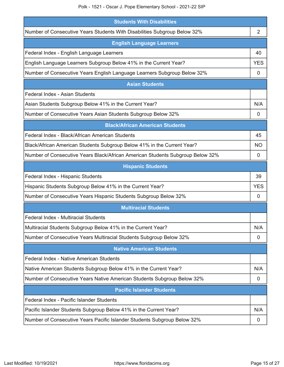| <b>Students With Disabilities</b>                                              |            |  |  |  |  |  |  |
|--------------------------------------------------------------------------------|------------|--|--|--|--|--|--|
| Number of Consecutive Years Students With Disabilities Subgroup Below 32%      | 2          |  |  |  |  |  |  |
| <b>English Language Learners</b>                                               |            |  |  |  |  |  |  |
| Federal Index - English Language Learners                                      | 40         |  |  |  |  |  |  |
| English Language Learners Subgroup Below 41% in the Current Year?              | <b>YES</b> |  |  |  |  |  |  |
| Number of Consecutive Years English Language Learners Subgroup Below 32%       | 0          |  |  |  |  |  |  |
| <b>Asian Students</b>                                                          |            |  |  |  |  |  |  |
| Federal Index - Asian Students                                                 |            |  |  |  |  |  |  |
| Asian Students Subgroup Below 41% in the Current Year?                         | N/A        |  |  |  |  |  |  |
| Number of Consecutive Years Asian Students Subgroup Below 32%                  | 0          |  |  |  |  |  |  |
| <b>Black/African American Students</b>                                         |            |  |  |  |  |  |  |
| Federal Index - Black/African American Students                                | 45         |  |  |  |  |  |  |
| Black/African American Students Subgroup Below 41% in the Current Year?        | ΝO         |  |  |  |  |  |  |
| Number of Consecutive Years Black/African American Students Subgroup Below 32% | 0          |  |  |  |  |  |  |
| <b>Hispanic Students</b>                                                       |            |  |  |  |  |  |  |
| Federal Index - Hispanic Students                                              | 39         |  |  |  |  |  |  |
| Hispanic Students Subgroup Below 41% in the Current Year?                      | <b>YES</b> |  |  |  |  |  |  |
| Number of Consecutive Years Hispanic Students Subgroup Below 32%               | 0          |  |  |  |  |  |  |
| <b>Multiracial Students</b>                                                    |            |  |  |  |  |  |  |
| Federal Index - Multiracial Students                                           |            |  |  |  |  |  |  |
| Multiracial Students Subgroup Below 41% in the Current Year?                   | N/A        |  |  |  |  |  |  |
| Number of Consecutive Years Multiracial Students Subgroup Below 32%            | 0          |  |  |  |  |  |  |
| <b>Native American Students</b>                                                |            |  |  |  |  |  |  |
| Federal Index - Native American Students                                       |            |  |  |  |  |  |  |
| Native American Students Subgroup Below 41% in the Current Year?               | N/A        |  |  |  |  |  |  |
| Number of Consecutive Years Native American Students Subgroup Below 32%        | 0          |  |  |  |  |  |  |
| <b>Pacific Islander Students</b>                                               |            |  |  |  |  |  |  |
| Federal Index - Pacific Islander Students                                      |            |  |  |  |  |  |  |
| Pacific Islander Students Subgroup Below 41% in the Current Year?              | N/A        |  |  |  |  |  |  |
| Number of Consecutive Years Pacific Islander Students Subgroup Below 32%       | 0          |  |  |  |  |  |  |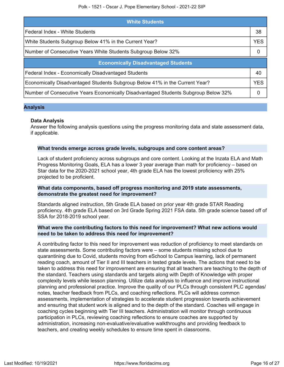| <b>White Students</b>                                                              |            |  |  |  |
|------------------------------------------------------------------------------------|------------|--|--|--|
| Federal Index - White Students                                                     | 38         |  |  |  |
| White Students Subgroup Below 41% in the Current Year?                             | <b>YES</b> |  |  |  |
| Number of Consecutive Years White Students Subgroup Below 32%                      | 0          |  |  |  |
| <b>Economically Disadvantaged Students</b>                                         |            |  |  |  |
| Federal Index - Economically Disadvantaged Students                                | 40         |  |  |  |
| Economically Disadvantaged Students Subgroup Below 41% in the Current Year?        | <b>YES</b> |  |  |  |
| Number of Consecutive Years Economically Disadvantaged Students Subgroup Below 32% | $\Omega$   |  |  |  |

## **Analysis**

## **Data Analysis**

Answer the following analysis questions using the progress monitoring data and state assessment data, if applicable.

## **What trends emerge across grade levels, subgroups and core content areas?**

Lack of student proficiency across subgroups and core content. Looking at the Inzata ELA and Math Progress Monitoring Goals, ELA has a lower 3 year average than math for proficiency – based on Star data for the 2020-2021 school year, 4th grade ELA has the lowest proficiency with 25% projected to be proficient.

## **What data components, based off progress monitoring and 2019 state assessments, demonstrate the greatest need for improvement?**

Standards aligned instruction, 5th Grade ELA based on prior year 4th grade STAR Reading proficiency. 4th grade ELA based on 3rd Grade Spring 2021 FSA data. 5th grade science based off of SSA for 2018-2019 school year.

## **What were the contributing factors to this need for improvement? What new actions would need to be taken to address this need for improvement?**

A contributing factor to this need for improvement was reduction of proficiency to meet standards on state assessments. Some contributing factors were – some students missing school due to quarantining due to Covid, students moving from eSchool to Campus learning, lack of permanent reading coach, amount of Tier II and III teachers in tested grade levels. The actions that need to be taken to address this need for improvement are ensuring that all teachers are teaching to the depth of the standard. Teachers using standards and targets along with Depth of Knowledge with proper complexity levels while lesson planning. Utilize data analysis to influence and improve instructional planning and professional practice. Improve the quality of our PLCs through consistent PLC agendas/ notes, teacher feedback from PLCs, and coaching reflections. PLCs will address common assessments, implementation of strategies to accelerate student progression towards achievement and ensuring that student work is aligned and to the depth of the standard. Coaches will engage in coaching cycles beginning with Tier III teachers. Administration will monitor through continuous participation in PLCs, reviewing coaching reflections to ensure coaches are supported by administration, increasing non-evaluative/evaluative walkthroughs and providing feedback to teachers, and creating weekly schedules to ensure time spent in classrooms.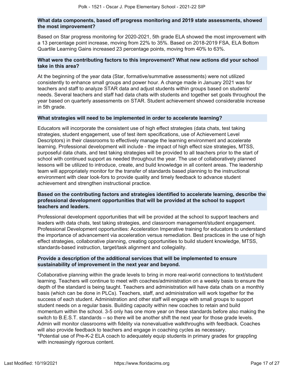## **What data components, based off progress monitoring and 2019 state assessments, showed the most improvement?**

Based on Star progress monitoring for 2020-2021, 5th grade ELA showed the most improvement with a 13 percentage point increase, moving from 22% to 35%. Based on 2018-2019 FSA, ELA Bottom Quartile Learning Gains increased 23 percentage points, moving from 40% to 63%.

## **What were the contributing factors to this improvement? What new actions did your school take in this area?**

At the beginning of the year data (Star, formative/summative assessments) were not utilized consistently to enhance small groups and power hour. A change made in January 2021 was for teachers and staff to analyze STAR data and adjust students within groups based on students' needs. Several teachers and staff had data chats with students and together set goals throughout the year based on quarterly assessments on STAR. Student achievement showed considerable increase in 5th grade.

## **What strategies will need to be implemented in order to accelerate learning?**

Educators will incorporate the consistent use of high effect strategies (data chats, test taking strategies, student engagement, use of test item specifications, use of Achievement Level Descriptors) in their classrooms to effectively manage the learning environment and accelerate learning. Professional development will include - the impact of high effect size strategies, MTSS, purposeful data chats, and test taking strategies will be provided to all teachers prior to the start of school with continued support as needed throughout the year. The use of collaboratively planned lessons will be utilized to introduce, create, and build knowledge in all content areas. The leadership team will appropriately monitor for the transfer of standards based planning to the instructional environment with clear look-fors to provide quality and timely feedback to advance student achievement and strengthen instructional practice.

## **Based on the contributing factors and strategies identified to accelerate learning, describe the professional development opportunities that will be provided at the school to support teachers and leaders.**

Professional development opportunities that will be provided at the school to support teachers and leaders with data chats, test taking strategies, and classroom management/student engagement. Professional Development opportunities: Acceleration Imperative training for educators to understand the importance of advancement via acceleration versus remediation. Best practices in the use of high effect strategies, collaborative planning, creating opportunities to build student knowledge, MTSS, standards-based instruction, target/task alignment and collegiality.

## **Provide a description of the additional services that will be implemented to ensure sustainability of improvement in the next year and beyond.**

Collaborative planning within the grade levels to bring in more real-world connections to text/student learning. Teachers will continue to meet with coaches/administration on a weekly basis to ensure the depth of the standard is being taught. Teachers and administration will have data chats on a monthly basis (which can be done in PLCs). Teachers, staff, and administration will work together for the success of each student. Administration and other staff will engage with small groups to support student needs on a regular basis. Building capacity within new coaches to retain and build momentum within the school. 3-5 only has one more year on these standards before also making the switch to B.E.S.T. standards – so there will be another shift the next year for those grade levels. Admin will monitor classrooms with fidelity via nonevaluative walkthroughs with feedback. Coaches will also provide feedback to teachers and engage in coaching cycles as necessary. \*Potential use of Pre-K-2 ELA coach to adequately equip students in primary grades for grappling with increasingly rigorous content.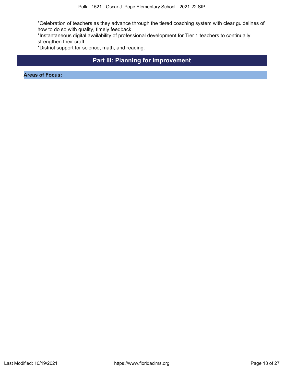\*Celebration of teachers as they advance through the tiered coaching system with clear guidelines of how to do so with quality, timely feedback.

\*Instantaneous digital availability of professional development for Tier 1 teachers to continually strengthen their craft.

\*District support for science, math, and reading.

## **Part III: Planning for Improvement**

<span id="page-17-0"></span>**Areas of Focus:**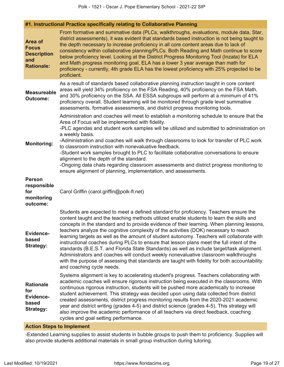## **#1. Instructional Practice specifically relating to Collaborative Planning**

| From formative and summative data (PLCs, walkthroughs, evaluations, module data, Star,<br>district assessments), it was evident that standards based instruction is not being taught to<br>Area of<br>the depth necessary to increase proficiency in all core content areas due to lack of<br><b>Focus</b><br>consistency within collaborative planning/PLCs. Both Reading and Math continue to score<br><b>Description</b><br>below proficiency level. Looking at the District Progress Monitoring Tool (Inzata) for ELA<br>and<br>and Math progress monitoring goal, ELA has a lower 3 year average than math for<br><b>Rationale:</b><br>proficiency - currently, 4th grade ELA has the lowest proficiency with 25% projected to be<br>proficient. |                                                                                                                                                                                                                                                                                                                                                                                                                                                                                                                                                                                                                                                                                                                                                                                                                                                                                       |  |  |  |
|-------------------------------------------------------------------------------------------------------------------------------------------------------------------------------------------------------------------------------------------------------------------------------------------------------------------------------------------------------------------------------------------------------------------------------------------------------------------------------------------------------------------------------------------------------------------------------------------------------------------------------------------------------------------------------------------------------------------------------------------------------|---------------------------------------------------------------------------------------------------------------------------------------------------------------------------------------------------------------------------------------------------------------------------------------------------------------------------------------------------------------------------------------------------------------------------------------------------------------------------------------------------------------------------------------------------------------------------------------------------------------------------------------------------------------------------------------------------------------------------------------------------------------------------------------------------------------------------------------------------------------------------------------|--|--|--|
| <b>Measureable</b><br>Outcome:                                                                                                                                                                                                                                                                                                                                                                                                                                                                                                                                                                                                                                                                                                                        | As a result of standards based collaborative planning instruction taught in core content<br>areas will yield 34% proficiency on the FSA Reading, 40% proficiency on the FSA Math,<br>and 30% proficiency on the SSA. All ESSA subgroups will perform at a minimum of 41%<br>proficiency overall. Student learning will be monitored through grade level summative<br>assessments, formative assessments, and district progress monitoring tools.                                                                                                                                                                                                                                                                                                                                                                                                                                      |  |  |  |
| <b>Monitoring:</b>                                                                                                                                                                                                                                                                                                                                                                                                                                                                                                                                                                                                                                                                                                                                    | Administration and coaches will meet to establish a monitoring schedule to ensure that the<br>Area of Focus will be implemented with fidelity.<br>-PLC agendas and student work samples will be utilized and submitted to administration on<br>a weekly basis.<br>-Administration and coaches will walk through classrooms to look for transfer of PLC work<br>to classroom instruction with nonevaluative feedback.<br>-Student work samples brought to PLC to facilitate collaborative conversations to ensure<br>alignment to the depth of the standard.<br>-Ongoing data chats regarding classroom assessments and district progress monitoring to<br>ensure alignment of planning, implementation, and assessments.                                                                                                                                                              |  |  |  |
| <b>Person</b><br>responsible<br>for<br>monitoring<br>outcome:                                                                                                                                                                                                                                                                                                                                                                                                                                                                                                                                                                                                                                                                                         | Carol Griffin (carol.griffin@polk-fl.net)                                                                                                                                                                                                                                                                                                                                                                                                                                                                                                                                                                                                                                                                                                                                                                                                                                             |  |  |  |
| Evidence-<br>based<br><b>Strategy:</b>                                                                                                                                                                                                                                                                                                                                                                                                                                                                                                                                                                                                                                                                                                                | Students are expected to meet a defined standard for proficiency. Teachers ensure the<br>content taught and the teaching methods utilized enable students to learn the skills and<br>concepts in the standard and to provide evidence of their learning. When planning lessons,<br>teachers analyze the cognitive complexity of the activities (DOK) necessary to reach<br>learning targets as well as the amount of student autonomy. Teachers will collaborate with<br>instructional coaches during PLCs to ensure that lesson plans meet the full intent of the<br>standards (B.E.S.T. and Florida State Standards) as well as include target/task alignment.<br>Administrators and coaches will conduct weekly nonevaluative classroom walkthroughs<br>with the purpose of assessing that standards are taught with fidelity for both accountability<br>and coaching cycle needs. |  |  |  |
| <b>Rationale</b><br>for<br><b>Evidence-</b><br>based<br><b>Strategy:</b>                                                                                                                                                                                                                                                                                                                                                                                                                                                                                                                                                                                                                                                                              | Systems alignment is key to accelerating student's progress. Teachers collaborating with<br>academic coaches will ensure rigorous instruction being executed in the classrooms. With<br>continuous rigorous instruction, students will be pushed more academically to increase<br>student achievement. This strategy was decided upon using data collected from district<br>created assessments, district progress monitoring results from the 2020-2021 academic<br>year and district writing (grades 4-5) and district science (grades 4-5). This strategy will<br>also improve the academic performance of all teachers via direct feedback, coaching<br>cycles and goal setting performance.                                                                                                                                                                                      |  |  |  |

## **Action Steps to Implement**

-Extended Learning supplies to assist students in bubble groups to push them to proficiency. Supplies will also provide students additional materials in small group instruction during tutoring.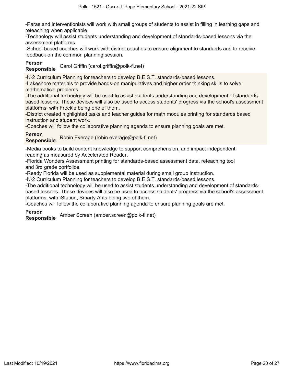-Paras and interventionists will work with small groups of students to assist in filling in learning gaps and reteaching when applicable.

-Technology will assist students understanding and development of standards-based lessons via the assessment platforms.

-School based coaches will work with district coaches to ensure alignment to standards and to receive feedback on the common planning session.

## **Person**

**Responsible** Carol Griffin (carol.griffin@polk-fl.net)

-K-2 Curriculum Planning for teachers to develop B.E.S.T. standards-based lessons.

-Lakeshore materials to provide hands-on manipulatives and higher order thinking skills to solve mathematical problems.

-The additional technology will be used to assist students understanding and development of standardsbased lessons. These devices will also be used to access students' progress via the school's assessment platforms, with Freckle being one of them.

-District created highlighted tasks and teacher guides for math modules printing for standards based instruction and student work.

-Coaches will follow the collaborative planning agenda to ensure planning goals are met.

## **Person**

**Responsible** Robin Everage (robin.everage@polk-fl.net)

-Media books to build content knowledge to support comprehension, and impact independent reading as measured by Accelerated Reader.

-Florida Wonders Assessment printing for standards-based assessment data, reteaching tool and 3rd grade portfolios.

-Ready Florida will be used as supplemental material during small group instruction.

-K-2 Curriculum Planning for teachers to develop B.E.S.T. standards-based lessons.

-The additional technology will be used to assist students understanding and development of standardsbased lessons. These devices will also be used to access students' progress via the school's assessment platforms, with iStation, Smarty Ants being two of them.

-Coaches will follow the collaborative planning agenda to ensure planning goals are met.

## **Person**

**Responsible** Amber Screen (amber.screen@polk-fl.net)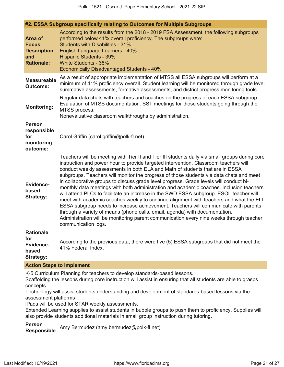| #2. ESSA Subgroup specifically relating to Outcomes for Multiple Subgroups |                                                                                                                                                                                                                                                                                                                                                                                                                                                                                                                                                                                                                                                                                                                                                                                                                                                                                                                                                                                                                                    |  |  |  |  |
|----------------------------------------------------------------------------|------------------------------------------------------------------------------------------------------------------------------------------------------------------------------------------------------------------------------------------------------------------------------------------------------------------------------------------------------------------------------------------------------------------------------------------------------------------------------------------------------------------------------------------------------------------------------------------------------------------------------------------------------------------------------------------------------------------------------------------------------------------------------------------------------------------------------------------------------------------------------------------------------------------------------------------------------------------------------------------------------------------------------------|--|--|--|--|
| Area of<br><b>Focus</b><br><b>Description</b><br>and<br><b>Rationale:</b>  | According to the results from the 2018 - 2019 FSA Assessment, the following subgroups<br>performed below 41% overall proficiency. The subgroups were:<br><b>Students with Disabilities - 31%</b><br><b>English Language Learners - 40%</b><br><b>Hispanic Students - 39%</b><br>White Students - 38%<br><b>Economically Disadvantaged Students - 40%</b>                                                                                                                                                                                                                                                                                                                                                                                                                                                                                                                                                                                                                                                                           |  |  |  |  |
| <b>Measureable</b><br><b>Outcome:</b>                                      | As a result of appropriate implementation of MTSS all ESSA subgroups will perform at a<br>minimum of 41% proficiency overall. Student learning will be monitored through grade level<br>summative assessments, formative assessments, and district progress monitoring tools.                                                                                                                                                                                                                                                                                                                                                                                                                                                                                                                                                                                                                                                                                                                                                      |  |  |  |  |
| <b>Monitoring:</b>                                                         | Regular data chats with teachers and coaches on the progress of each ESSA subgroup.<br>Evaluation of MTSS documentation. SST meetings for those students going through the<br>MTSS process.<br>Nonevaluative classroom walkthroughs by administration.                                                                                                                                                                                                                                                                                                                                                                                                                                                                                                                                                                                                                                                                                                                                                                             |  |  |  |  |
| <b>Person</b><br>responsible<br>for<br>monitoring<br>outcome:              | Carol Griffin (carol.griffin@polk-fl.net)                                                                                                                                                                                                                                                                                                                                                                                                                                                                                                                                                                                                                                                                                                                                                                                                                                                                                                                                                                                          |  |  |  |  |
| Evidence-<br>based<br><b>Strategy:</b>                                     | Teachers will be meeting with Tier II and Tier III students daily via small groups during core<br>instruction and power hour to provide targeted intervention. Classroom teachers will<br>conduct weekly assessments in both ELA and Math of students that are in ESSA<br>subgroups. Teachers will monitor the progress of those students via data chats and meet<br>in collaborative groups to discuss grade level progress. Grade levels will conduct bi-<br>monthly data meetings with both administration and academic coaches. Inclusion teachers<br>will attend PLCs to facilitate an increase in the SWD ESSA subgroup. ESOL teacher will<br>meet with academic coaches weekly to continue alignment with teachers and what the ELL<br>ESSA subgroup needs to increase achievement. Teachers will communicate with parents<br>through a variety of means (phone calls, email, agenda) with documentation.<br>Administration will be monitoring parent communication every nine weeks through teacher<br>communication logs. |  |  |  |  |
| <b>Rationale</b><br>for<br>Evidence-<br>based<br><b>Strategy:</b>          | According to the previous data, there were five (5) ESSA subgroups that did not meet the<br>41% Federal Index.                                                                                                                                                                                                                                                                                                                                                                                                                                                                                                                                                                                                                                                                                                                                                                                                                                                                                                                     |  |  |  |  |

#### **Action Steps to Implement**

K-5 Curriculum Planning for teachers to develop standards-based lessons.

Scaffolding the lessons during core instruction will assist in ensuring that all students are able to grasps concepts.

Technology will assist students understanding and development of standards-based lessons via the assessment platforms

iPads will be used for STAR weekly assessments.

Extended Learning supplies to assist students in bubble groups to push them to proficiency. Supplies will also provide students additional materials in small group instruction during tutoring.

**Person Responsible** Amy Bermudez (amy.bermudez@polk-fl.net)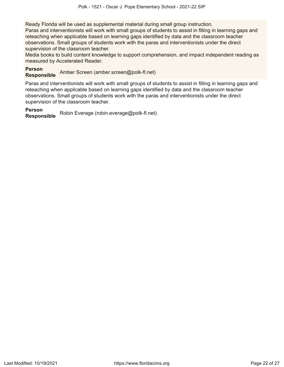Ready Florida will be used as supplemental material during small group instruction.

Paras and interventionists will work with small groups of students to assist in filling in learning gaps and reteaching when applicable based on learning gaps identified by data and the classroom teacher observations. Small groups of students work with the paras and interventionists under the direct supervision of the classroom teacher.

Media books to build content knowledge to support comprehension, and impact independent reading as measured by Accelerated Reader.

## **Person**

**Responsible** Amber Screen (amber.screen@polk-fl.net)

Paras and interventionists will work with small groups of students to assist in filling in learning gaps and reteaching when applicable based on learning gaps identified by data and the classroom teacher observations. Small groups of students work with the paras and interventionists under the direct supervision of the classroom teacher.

## **Person**

**Responsible** Robin Everage (robin.everage@polk-fl.net)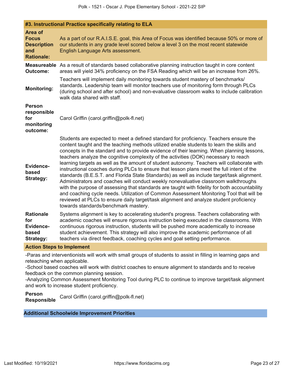|                                                                                  | #3. Instructional Practice specifically relating to ELA                                                                                                                                                                                                                                                                                                                                                                                                                                                                                                                                                                                                                                                                                                                                                                                                                                                                                                                                                                                                                               |  |  |  |
|----------------------------------------------------------------------------------|---------------------------------------------------------------------------------------------------------------------------------------------------------------------------------------------------------------------------------------------------------------------------------------------------------------------------------------------------------------------------------------------------------------------------------------------------------------------------------------------------------------------------------------------------------------------------------------------------------------------------------------------------------------------------------------------------------------------------------------------------------------------------------------------------------------------------------------------------------------------------------------------------------------------------------------------------------------------------------------------------------------------------------------------------------------------------------------|--|--|--|
| <b>Area of</b><br><b>Focus</b><br><b>Description</b><br>and<br><b>Rationale:</b> | As a part of our R.A.I.S.E. goal, this Area of Focus was identified because 50% or more of<br>our students in any grade level scored below a level 3 on the most recent statewide<br>English Language Arts assessment.                                                                                                                                                                                                                                                                                                                                                                                                                                                                                                                                                                                                                                                                                                                                                                                                                                                                |  |  |  |
| <b>Outcome:</b>                                                                  | <b>Measureable</b> As a result of standards based collaborative planning instruction taught in core content<br>areas will yield 34% proficiency on the FSA Reading which will be an increase from 26%.                                                                                                                                                                                                                                                                                                                                                                                                                                                                                                                                                                                                                                                                                                                                                                                                                                                                                |  |  |  |
| <b>Monitoring:</b>                                                               | Teachers will implement daily monitoring towards student mastery of benchmarks/<br>standards. Leadership team will monitor teachers use of monitoring form through PLCs<br>(during school and after school) and non-evaluative classroom walks to include calibration<br>walk data shared with staff.                                                                                                                                                                                                                                                                                                                                                                                                                                                                                                                                                                                                                                                                                                                                                                                 |  |  |  |
| <b>Person</b><br>responsible<br>for<br>monitoring<br>outcome:                    | Carol Griffin (carol.griffin@polk-fl.net)                                                                                                                                                                                                                                                                                                                                                                                                                                                                                                                                                                                                                                                                                                                                                                                                                                                                                                                                                                                                                                             |  |  |  |
| <b>Evidence-</b><br>based<br><b>Strategy:</b>                                    | Students are expected to meet a defined standard for proficiency. Teachers ensure the<br>content taught and the teaching methods utilized enable students to learn the skills and<br>concepts in the standard and to provide evidence of their learning. When planning lessons,<br>teachers analyze the cognitive complexity of the activities (DOK) necessary to reach<br>learning targets as well as the amount of student autonomy. Teachers will collaborate with<br>instructional coaches during PLCs to ensure that lesson plans meet the full intent of the<br>standards (B.E.S.T. and Florida State Standards) as well as include target/task alignment.<br>Administrators and coaches will conduct weekly nonevaluative classroom walkthroughs<br>with the purpose of assessing that standards are taught with fidelity for both accountability<br>and coaching cycle needs. Utilization of Common Assessment Monitoring Tool that will be<br>reviewed at PLCs to ensure daily target/task alignment and analyze student proficiency<br>towards standards/benchmark mastery. |  |  |  |
| <b>Rationale</b><br>for<br><b>Evidence-</b><br>based<br><b>Strategy:</b>         | Systems alignment is key to accelerating student's progress. Teachers collaborating with<br>academic coaches will ensure rigorous instruction being executed in the classrooms. With<br>continuous rigorous instruction, students will be pushed more academically to increase<br>student achievement. This strategy will also improve the academic performance of all<br>teachers via direct feedback, coaching cycles and goal setting performance.                                                                                                                                                                                                                                                                                                                                                                                                                                                                                                                                                                                                                                 |  |  |  |
| Action Stone to Implement                                                        |                                                                                                                                                                                                                                                                                                                                                                                                                                                                                                                                                                                                                                                                                                                                                                                                                                                                                                                                                                                                                                                                                       |  |  |  |

**Action Steps to Implement**

-Paras and interventionists will work with small groups of students to assist in filling in learning gaps and reteaching when applicable.

-School based coaches will work with district coaches to ensure alignment to standards and to receive feedback on the common planning session.

-Analyzing Common Assessment Monitoring Tool during PLC to continue to improve target/task alignment and work to increase student proficiency.

**Person Responsible** Carol Griffin (carol.griffin@polk-fl.net)

## **Additional Schoolwide Improvement Priorities**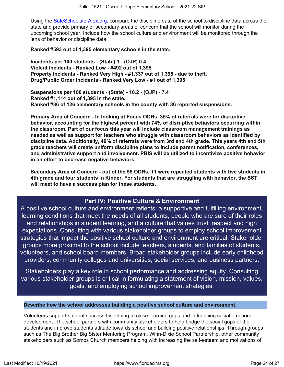Using the [SafeSchoolsforAlex.org](https://www.safeschoolsforalex.org/fl-school-safety-dashboard/), compare the discipline data of the school to discipline data across the state and provide primary or secondary areas of concern that the school will monitor during the upcoming school year. Include how the school culture and environment will be monitored through the lens of behavior or discipline data.

**Ranked #593 out of 1,395 elementary schools in the state.**

**Incidents per 100 students - (State) 1 - (OJP) 0.4 Violent Incidents - Ranked Low - #492 out of 1,395 Property Incidents - Ranked Very High - #1,337 out of 1,395 - due to theft. Drug/Public Order Incidents - Ranked Very Low - #1 out of 1,395**

**Suspensions per 100 students - (State) - 10.2 - (OJP) - 7.4 Ranked #1,114 out of 1,395 in the state. Ranked #36 of 126 elementary schools in the county with 36 reported suspensions.**

**Primary Area of Concern - In looking at Focus ODRs, 35% of referrals were for disruptive behavior, accounting for the highest percent with 74% of disruptive behaviors occurring within the classroom. Part of our focus this year will include classroom management trainings as needed as well as support for teachers who struggle with classroom behaviors as identified by discipline data. Additionally, 49% of referrals were from 3rd and 4th grade. This years 4th and 5th grade teachers will create uniform discipline plans to include parent notification, conferences, and administrative support and involvement. PBIS will be utilized to incentivize positive behavior in an effort to decrease negative behaviors.**

**Secondary Area of Concern - out of the 55 ODRs, 11 were repeated students with five students in 4th grade and four students in Kinder. For students that are struggling with behavior, the SST will meet to have a success plan for these students.**

## **Part IV: Positive Culture & Environment**

<span id="page-23-0"></span>A positive school culture and environment reflects: a supportive and fulfilling environment, learning conditions that meet the needs of all students, people who are sure of their roles and relationships in student learning, and a culture that values trust, respect and high expectations. Consulting with various stakeholder groups to employ school improvement strategies that impact the positive school culture and environment are critical. Stakeholder groups more proximal to the school include teachers, students, and families of students, volunteers, and school board members. Broad stakeholder groups include early childhood providers, community colleges and universities, social services, and business partners.

Stakeholders play a key role in school performance and addressing equity. Consulting various stakeholder groups is critical in formulating a statement of vision, mission, values, goals, and employing school improvement strategies.

## **Describe how the school addresses building a positive school culture and environment.**

Volunteers support student success by helping to close learning gaps and influencing social emotional development. The school partners with community stakeholders to help bridge the social gaps of the students and improve students attitude towards school and building positive relationships. Through groups such as The Big Brother Big Sister Mentoring Program, Winn-Dixie School Partnership, other community stakeholders such as Somos Church members helping with increasing the self-esteem and motivations of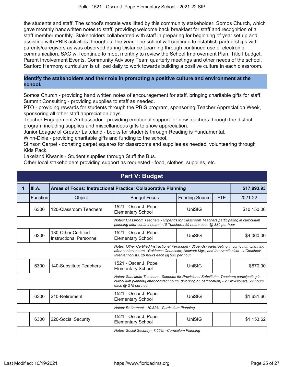the students and staff. The school's morale was lifted by this community stakeholder, Somos Church, which gave monthly handwritten notes to staff, providing welcome back breakfast for staff and recognition of a staff member monthly. Stakeholders collaborated with staff in preparing for beginning of year set up and assisting with PBIS activities throughout the year. The school will continue to establish partnerships with parents/caregivers as was observed during Distance Learning through continued use of electronic communication. SAC will continue to meet monthly to review the School Improvement Plan, Title I budget, Parent Involvement Events, Community Advisory Team quarterly meetings and other needs of the school. Sanford Harmony curriculum is utilized daily to work towards building a positive culture in each classroom.

## **Identify the stakeholders and their role in promoting a positive culture and environment at the school.**

Somos Church - providing hand written notes of encouragement for staff, bringing charitable gifts for staff. Summit Consulting - providing supplies to staff as needed.

PTO - providing rewards for students through the PBIS program, sponsoring Teacher Appreciation Week, sponsoring all other staff appreciation days.

Teacher Engagement Ambassador - providing emotional support for new teachers through the district program including supplies and miscellaneous gifts to show appreciation.

Junior League of Greater Lakeland - books for students through Reading is Fundamental.

Winn-Dixie - providing charitable gifts and funding to the school.

Stinson Carpet - donating carpet squares for classrooms and supplies as needed, volunteering through Kids Pack.

Lakeland Kiwanis - Student supplies through Stuff the Bus.

Other local stakeholders providing support as requested - food, clothes, supplies, etc.

<span id="page-24-0"></span>

| <b>Part V: Budget</b>                                                                                                                                                |                                                                                                                                                                                                                                                 |                                                |                                                  |                       |             |             |
|----------------------------------------------------------------------------------------------------------------------------------------------------------------------|-------------------------------------------------------------------------------------------------------------------------------------------------------------------------------------------------------------------------------------------------|------------------------------------------------|--------------------------------------------------|-----------------------|-------------|-------------|
| 1                                                                                                                                                                    | III.A.<br>Areas of Focus: Instructional Practice: Collaborative Planning                                                                                                                                                                        |                                                |                                                  |                       | \$17,893.93 |             |
|                                                                                                                                                                      | <b>Function</b>                                                                                                                                                                                                                                 | Object                                         | <b>Budget Focus</b>                              | <b>Funding Source</b> | <b>FTE</b>  | 2021-22     |
|                                                                                                                                                                      | 6300                                                                                                                                                                                                                                            | 120-Classroom Teachers                         | 1521 - Oscar J. Pope<br><b>Elementary School</b> | UniSIG                |             | \$10,150.00 |
| Notes: Classroom Teachers - Stipends for Classroom Teachers participating in curriculum<br>planning after contact hours - 10 Teachers, 29 hours each @ \$35 per hour |                                                                                                                                                                                                                                                 |                                                |                                                  |                       |             |             |
|                                                                                                                                                                      | 6300                                                                                                                                                                                                                                            | 130-Other Certified<br>Instructional Personnel | 1521 - Oscar J. Pope<br><b>Elementary School</b> | UniSIG                |             | \$4,060.00  |
|                                                                                                                                                                      | Notes: Other Certified Instructional Personnel - Stipends- participating in curriculum planning<br>after contact hours - Guidance Counselor, Network Mgr., and Interventionists - 4 Coaches/<br>Interventionists, 29 hours each @ \$35 per hour |                                                |                                                  |                       |             |             |
|                                                                                                                                                                      | 6300                                                                                                                                                                                                                                            | 140-Substitute Teachers                        | 1521 - Oscar J. Pope<br><b>Elementary School</b> | UniSIG                |             | \$870.00    |
|                                                                                                                                                                      | Notes: Substitute Teachers - Stipends for Provisional Substitutes Teachers participating in<br>curriculum planning after contract hours. (Working on certification) - 2 Provisionals, 29 hours<br>each @ \$15 per hour                          |                                                |                                                  |                       |             |             |
|                                                                                                                                                                      | 6300                                                                                                                                                                                                                                            | 210-Retirement                                 | 1521 - Oscar J. Pope<br><b>Elementary School</b> | UniSIG                |             | \$1,631.66  |
|                                                                                                                                                                      | Notes: Retirement - 10.82%- Curriculum Planning                                                                                                                                                                                                 |                                                |                                                  |                       |             |             |
|                                                                                                                                                                      | 6300                                                                                                                                                                                                                                            | 220-Social Security                            | 1521 - Oscar J. Pope<br><b>Elementary School</b> | UniSIG                |             | \$1,153.62  |
|                                                                                                                                                                      | Notes: Social Security - 7.65% - Curriculum Planning                                                                                                                                                                                            |                                                |                                                  |                       |             |             |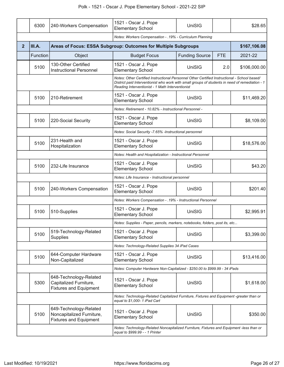## Polk - 1521 - Oscar J. Pope Elementary School - 2021-22 SIP

|                | 6300                                                                                                                        | 240-Workers Compensation                                                             | 1521 - Oscar J. Pope<br><b>Elementary School</b>                                                                                                                                                                                                    | UniSIG                |            | \$28.65      |
|----------------|-----------------------------------------------------------------------------------------------------------------------------|--------------------------------------------------------------------------------------|-----------------------------------------------------------------------------------------------------------------------------------------------------------------------------------------------------------------------------------------------------|-----------------------|------------|--------------|
|                |                                                                                                                             |                                                                                      | Notes: Workers Compensation - .19% - Curriculum Planning                                                                                                                                                                                            |                       |            |              |
| $\overline{2}$ | III.A.                                                                                                                      |                                                                                      | Areas of Focus: ESSA Subgroup: Outcomes for Multiple Subgroups                                                                                                                                                                                      |                       |            | \$167,106.08 |
|                | Function                                                                                                                    | Object                                                                               | <b>Budget Focus</b>                                                                                                                                                                                                                                 | <b>Funding Source</b> | <b>FTE</b> | 2021-22      |
|                | 5100                                                                                                                        | 130-Other Certified<br><b>Instructional Personnel</b>                                | 1521 - Oscar J. Pope<br><b>Elementary School</b>                                                                                                                                                                                                    | UniSIG                | 2.0        | \$106,000.00 |
|                |                                                                                                                             |                                                                                      | Notes: Other Certified Instructional Personnel Other Certified Instructional - School based/<br>District paid Interventionist who work with small groups of students in need of remediation - 1<br>Reading Interventionist - 1 Math Interventionist |                       |            |              |
|                | 5100                                                                                                                        | 210-Retirement                                                                       | 1521 - Oscar J. Pope<br><b>Elementary School</b>                                                                                                                                                                                                    | UniSIG                |            | \$11,469.20  |
|                |                                                                                                                             |                                                                                      | Notes: Retirement - 10.82% - Instructional Personnel -                                                                                                                                                                                              |                       |            |              |
|                | 5100                                                                                                                        | 220-Social Security                                                                  | 1521 - Oscar J. Pope<br><b>Elementary School</b>                                                                                                                                                                                                    | UniSIG                |            | \$8,109.00   |
|                |                                                                                                                             |                                                                                      | Notes: Social Security -7.65% -Instructional personnel                                                                                                                                                                                              |                       |            |              |
|                | 5100                                                                                                                        | 231-Health and<br>Hospitalization                                                    | 1521 - Oscar J. Pope<br><b>Elementary School</b>                                                                                                                                                                                                    | UniSIG                |            | \$18,576.00  |
|                |                                                                                                                             |                                                                                      | Notes: Health and Hospitalization - Instructional Personnel                                                                                                                                                                                         |                       |            |              |
|                | 5100                                                                                                                        | 232-Life Insurance                                                                   | 1521 - Oscar J. Pope<br><b>Elementary School</b>                                                                                                                                                                                                    | UniSIG                |            | \$43.20      |
|                |                                                                                                                             |                                                                                      | Notes: Life Insurance - Instructional personnel                                                                                                                                                                                                     |                       |            |              |
|                | 5100                                                                                                                        | 240-Workers Compensation                                                             | 1521 - Oscar J. Pope<br><b>Elementary School</b>                                                                                                                                                                                                    | UniSIG                |            | \$201.40     |
|                |                                                                                                                             |                                                                                      | Notes: Workers Compensation - . 19% - Instructional Personnel                                                                                                                                                                                       |                       |            |              |
|                | 5100                                                                                                                        | 510-Supplies                                                                         | 1521 - Oscar J. Pope<br><b>Elementary School</b>                                                                                                                                                                                                    | <b>UniSIG</b>         |            | \$2,995.91   |
|                |                                                                                                                             |                                                                                      | Notes: Supplies - Paper, pencils, markers, notebooks, folders, post its, etc                                                                                                                                                                        |                       |            |              |
|                | 5100                                                                                                                        | 519-Technology-Related<br>Supplies                                                   | 1521 - Oscar J. Pope<br><b>Elementary School</b>                                                                                                                                                                                                    | UniSIG                |            | \$3,399.00   |
|                |                                                                                                                             |                                                                                      | Notes: Technology-Related Supplies 34 iPad Cases                                                                                                                                                                                                    |                       |            |              |
|                | 5100                                                                                                                        | 644-Computer Hardware<br>Non-Capitalized                                             | 1521 - Oscar J. Pope<br><b>Elementary School</b>                                                                                                                                                                                                    | UniSIG                |            | \$13,416.00  |
|                |                                                                                                                             |                                                                                      | Notes: Computer Hardware Non-Capitalized - \$250.00 to \$999.99 - 34 iPads                                                                                                                                                                          |                       |            |              |
|                | 5300                                                                                                                        | 648-Technology-Related<br>Capitalized Furniture,<br><b>Fixtures and Equipment</b>    | 1521 - Oscar J. Pope<br><b>Elementary School</b>                                                                                                                                                                                                    | UniSIG                |            | \$1,618.00   |
|                |                                                                                                                             |                                                                                      | Notes: Technology-Related Capitalized Furniture, Fixtures and Equipment -greater than or<br>equal to \$1,000-1 iPad Cart                                                                                                                            |                       |            |              |
|                | 5100                                                                                                                        | 649-Technology-Related<br>Noncapitalized Furniture,<br><b>Fixtures and Equipment</b> | 1521 - Oscar J. Pope<br><b>Elementary School</b>                                                                                                                                                                                                    | UniSIG                |            | \$350.00     |
|                | Notes: Technology-Related Noncapitalized Furniture, Fixtures and Equipment -less than or<br>equal to \$999.99 - - 1 Printer |                                                                                      |                                                                                                                                                                                                                                                     |                       |            |              |